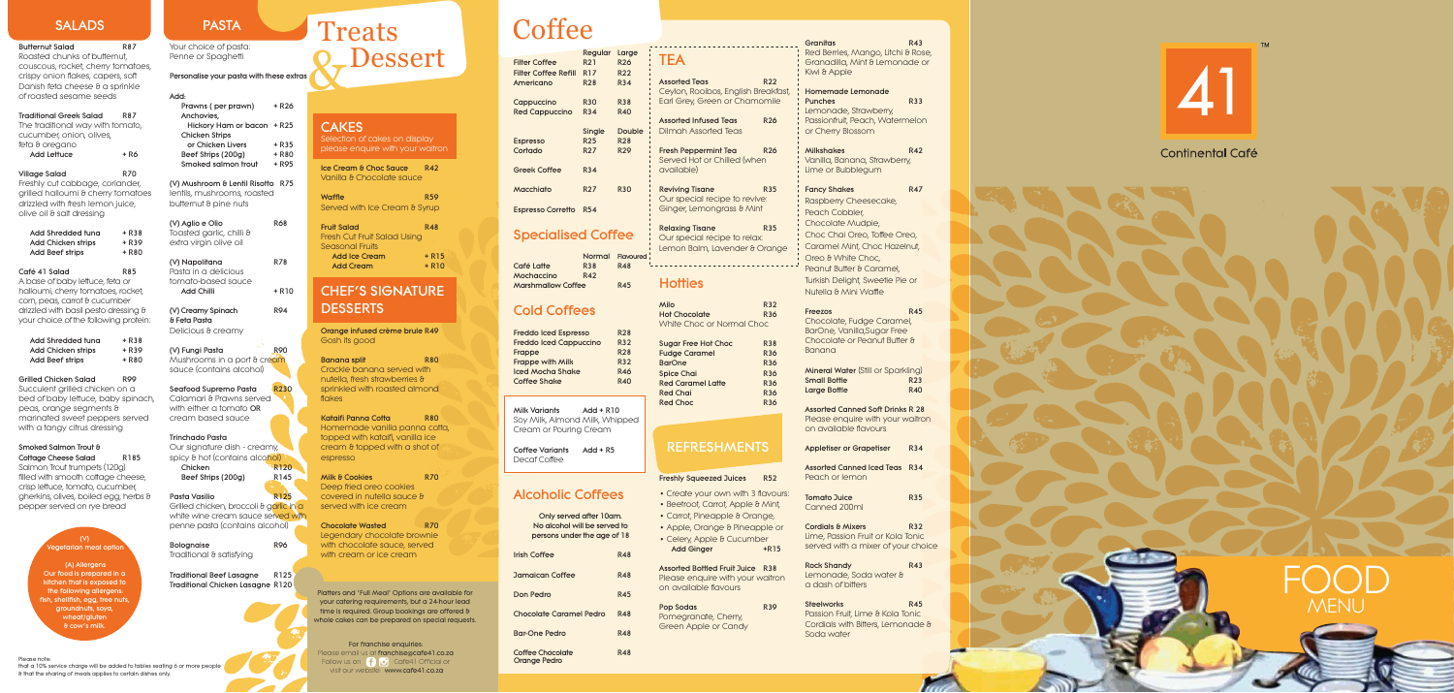# FOOD MENU

### Specialised Coffee Our special recipe to relate Lemon Balm, Lavender  $\theta$

Café Latte Mochaccino R42 Marshmallow Coffee R45

Normal Flavoured<br>R38 R48

Freddo Iced Espresso R28 Freddo Iced Cappuccino R32 Frappe R28 Frappe with Milk R32 Iced Mocha Shake R46 Coffee Shake R40

Only served after 10am. No alcohol will be served to persons under the age of 18 **Irish Coffee R48** Jamaican Coffee R48 Don Pedro **R45** Chocolate Caramel Pedro R48 Bar-One Pedro R48 Coffee Chocolate R48

# Cold Coffees

Milk Variants Add + R10 Soy Milk, Almond Milk, Whipped Cream or Pouring Cream

|                                            | Regular          | Large         |                                           |
|--------------------------------------------|------------------|---------------|-------------------------------------------|
| <b>Filter Coffee</b>                       | R <sub>2</sub> 1 | <b>R26</b>    | <b>TEA</b>                                |
| <b>Filter Coffee Refill</b>                | R <sub>17</sub>  | <b>R22</b>    |                                           |
| Americano                                  | <b>R28</b>       | <b>R34</b>    | <b>Assorted Teas</b><br>Ceylon, Rooibo:   |
| Cappuccino                                 | <b>R30</b>       | <b>R38</b>    | <b>Earl Grey, Greet</b>                   |
| <b>Red Cappuccino</b>                      | <b>R34</b>       | <b>R40</b>    |                                           |
|                                            |                  |               | <b>Assorted Infused</b>                   |
|                                            | Single           | <b>Double</b> | Dilmah Assorte                            |
| <b>Espresso</b>                            | <b>R25</b>       | <b>R28</b>    |                                           |
| Cortado                                    | R <sub>27</sub>  | <b>R29</b>    | <b>Fresh Peppermir</b><br>Served Hot or C |
| <b>Greek Coffee</b>                        | <b>R34</b>       |               | available)                                |
| Macchiato                                  | R <sub>27</sub>  | <b>R30</b>    | <b>Reviving Tisane</b><br>Our special rec |
| <b>Espresso Corretto</b>                   | <b>R54</b>       |               | Ginger, Lemong                            |
| $C_{\text{max}}$ of order $C_{\text{max}}$ |                  |               | <b>Relaxing Tisane</b>                    |

Coffee Variants Add + R5 Decaf Coffee

# Alcoholic Coffees

### Assorted Bottled Fruit Juice Please enquire with your on available flavours

# Treats Dessert

# **CAKES**

Traditional Greek Salad R87 The traditional way with tomato, cucumber, onion, olives, feta & oregano Add Lettuce  $+ R6$ 

Village Salad R70 Freshly cut cabbage, coriander, grilled halloumi & cherry tomatoes drizzled with fresh lemon juice, olive oil & salt dressing

Succulent grilled chicken on a bed of baby lettuce, baby spinach, peas, orange segments & marinated sweet peppers served with a tangy citrus dressing

| <b>Granitas</b><br>R43<br>Red Berries, Mango, Litchi & Rose,<br>TEA<br>Granadilla, Mint & Lemonade or<br>Kiwi & Apple<br><b>R22</b><br><b>Assorted Teas</b><br>Ceylon, Rooibos, English Breakfast,<br><b>Homemade Lemonade</b><br>Earl Grey, Green or Chamomile<br><b>R33</b><br><b>Punches</b><br>Lemonade, Strawberry,<br>Passionfruit, Peach, Watermelon<br><b>Assorted Infused Teas</b><br><b>R26</b><br><b>Dilmah Assorted Teas</b><br>or Cherry Blossom<br><b>Fresh Peppermint Tea</b><br><b>R26</b><br><b>Milkshakes</b><br><b>R42</b><br>Served Hot or Chilled (when<br>Vanilla, Banana, Strawberry,<br>available)<br>Lime or Bubblegum<br><b>R35</b><br><b>Fancy Shakes</b><br><b>R47</b><br><b>Reviving Tisane</b><br>Our special recipe to revive:<br>Raspberry Cheesecake,<br>Ginger, Lemongrass & Mint<br>Peach Cobbler,<br>Chocolate Mudpie,<br><b>Relaxing Tisane</b><br><b>R35</b><br>Choc Chai Oreo, Toffee Oreo,<br>Our special recipe to relax:<br>Caramel Mint, Choc Hazelnut,<br>Lemon Balm, Lavender & Orange<br>Oreo & White Choc,<br>Peanut Butter & Caramel,<br>Turkish Delight, Sweetie Pie or<br><b>Hotties</b><br>Nutella & Mini Waffle<br>Milo<br><b>R32</b><br><b>R45</b><br>Freezos<br><b>Hot Chocolate</b><br><b>R36</b><br>Chocolate, Fudge Caramel,<br><b>White Choc or Normal Choc</b><br>BarOne, Vanilla, Sugar Free<br>Chocolate or Peanut Butter &<br><b>R38</b><br><b>Sugar Free Hot Choc</b><br><b>Banana</b><br><b>Fudge Caramel</b><br><b>R36</b><br><b>BarOne</b><br><b>R36</b><br><b>Mineral Water</b> (Still or Sparkling)<br><b>Spice Chai</b><br><b>R36</b><br><b>Small Bottle</b><br><b>R23</b><br><b>Red Caramel Latte</b><br><b>R36</b><br><b>R40</b><br><b>Large Bottle</b><br><b>Red Chai</b><br><b>R36</b><br><b>Red Choc</b><br><b>R36</b><br><b>Assorted Canned Soft Drinks R 28</b><br>Please enquire with your waitron<br>on available flavours<br><b>REFRESHMENTS</b><br><b>Appletiser or Grapetiser</b><br><b>R34</b><br><b>Assorted Canned Iced Teas</b><br><b>R34</b><br>Peach or lemon<br><b>Freshly Squeezed Juices</b><br>R52<br>• Create your own with 3 flavours:<br><b>Tomato Juice</b><br><b>R35</b><br>• Beetroot, Carrot, Apple & Mint,<br>Canned 200ml<br>• Carrot, Pineapple & Orange,<br><b>Cordials &amp; Mixers</b><br><b>R32</b><br>• Apple, Orange & Pineapple or<br>Lime, Passion Fruit or Kola Tonic<br>• Celery, Apple & Cucumber<br>served with a mixer of your choice<br><b>Add Ginger</b><br>$+R15$<br><b>Rock Shandy</b><br><b>R43</b><br><b>Assorted Bottled Fruit Juice</b><br><b>R38</b><br>Lemonade, Soda water &<br>Please enquire with your waitron<br>a dash of bitters<br>on available flavours<br><b>Steelworks</b><br><b>R45</b><br><b>R39</b><br>Pop Sodas<br>Passion Fruit, Lime & Kola Tonic<br>Pomegranate, Cherry,<br>Cordials with Bitters, Lemonade &<br>Green Apple or Candy<br>Soda water |  |  |  |  |  |
|--------------------------------------------------------------------------------------------------------------------------------------------------------------------------------------------------------------------------------------------------------------------------------------------------------------------------------------------------------------------------------------------------------------------------------------------------------------------------------------------------------------------------------------------------------------------------------------------------------------------------------------------------------------------------------------------------------------------------------------------------------------------------------------------------------------------------------------------------------------------------------------------------------------------------------------------------------------------------------------------------------------------------------------------------------------------------------------------------------------------------------------------------------------------------------------------------------------------------------------------------------------------------------------------------------------------------------------------------------------------------------------------------------------------------------------------------------------------------------------------------------------------------------------------------------------------------------------------------------------------------------------------------------------------------------------------------------------------------------------------------------------------------------------------------------------------------------------------------------------------------------------------------------------------------------------------------------------------------------------------------------------------------------------------------------------------------------------------------------------------------------------------------------------------------------------------------------------------------------------------------------------------------------------------------------------------------------------------------------------------------------------------------------------------------------------------------------------------------------------------------------------------------------------------------------------------------------------------------------------------------------------------------------------------------------------------------------------------------------------------------------------------------------------------------------------------------------------------------------------------------------------------------|--|--|--|--|--|
|                                                                                                                                                                                                                                                                                                                                                                                                                                                                                                                                                                                                                                                                                                                                                                                                                                                                                                                                                                                                                                                                                                                                                                                                                                                                                                                                                                                                                                                                                                                                                                                                                                                                                                                                                                                                                                                                                                                                                                                                                                                                                                                                                                                                                                                                                                                                                                                                                                                                                                                                                                                                                                                                                                                                                                                                                                                                                                  |  |  |  |  |  |
|                                                                                                                                                                                                                                                                                                                                                                                                                                                                                                                                                                                                                                                                                                                                                                                                                                                                                                                                                                                                                                                                                                                                                                                                                                                                                                                                                                                                                                                                                                                                                                                                                                                                                                                                                                                                                                                                                                                                                                                                                                                                                                                                                                                                                                                                                                                                                                                                                                                                                                                                                                                                                                                                                                                                                                                                                                                                                                  |  |  |  |  |  |
|                                                                                                                                                                                                                                                                                                                                                                                                                                                                                                                                                                                                                                                                                                                                                                                                                                                                                                                                                                                                                                                                                                                                                                                                                                                                                                                                                                                                                                                                                                                                                                                                                                                                                                                                                                                                                                                                                                                                                                                                                                                                                                                                                                                                                                                                                                                                                                                                                                                                                                                                                                                                                                                                                                                                                                                                                                                                                                  |  |  |  |  |  |
|                                                                                                                                                                                                                                                                                                                                                                                                                                                                                                                                                                                                                                                                                                                                                                                                                                                                                                                                                                                                                                                                                                                                                                                                                                                                                                                                                                                                                                                                                                                                                                                                                                                                                                                                                                                                                                                                                                                                                                                                                                                                                                                                                                                                                                                                                                                                                                                                                                                                                                                                                                                                                                                                                                                                                                                                                                                                                                  |  |  |  |  |  |
|                                                                                                                                                                                                                                                                                                                                                                                                                                                                                                                                                                                                                                                                                                                                                                                                                                                                                                                                                                                                                                                                                                                                                                                                                                                                                                                                                                                                                                                                                                                                                                                                                                                                                                                                                                                                                                                                                                                                                                                                                                                                                                                                                                                                                                                                                                                                                                                                                                                                                                                                                                                                                                                                                                                                                                                                                                                                                                  |  |  |  |  |  |
|                                                                                                                                                                                                                                                                                                                                                                                                                                                                                                                                                                                                                                                                                                                                                                                                                                                                                                                                                                                                                                                                                                                                                                                                                                                                                                                                                                                                                                                                                                                                                                                                                                                                                                                                                                                                                                                                                                                                                                                                                                                                                                                                                                                                                                                                                                                                                                                                                                                                                                                                                                                                                                                                                                                                                                                                                                                                                                  |  |  |  |  |  |
|                                                                                                                                                                                                                                                                                                                                                                                                                                                                                                                                                                                                                                                                                                                                                                                                                                                                                                                                                                                                                                                                                                                                                                                                                                                                                                                                                                                                                                                                                                                                                                                                                                                                                                                                                                                                                                                                                                                                                                                                                                                                                                                                                                                                                                                                                                                                                                                                                                                                                                                                                                                                                                                                                                                                                                                                                                                                                                  |  |  |  |  |  |
|                                                                                                                                                                                                                                                                                                                                                                                                                                                                                                                                                                                                                                                                                                                                                                                                                                                                                                                                                                                                                                                                                                                                                                                                                                                                                                                                                                                                                                                                                                                                                                                                                                                                                                                                                                                                                                                                                                                                                                                                                                                                                                                                                                                                                                                                                                                                                                                                                                                                                                                                                                                                                                                                                                                                                                                                                                                                                                  |  |  |  |  |  |
|                                                                                                                                                                                                                                                                                                                                                                                                                                                                                                                                                                                                                                                                                                                                                                                                                                                                                                                                                                                                                                                                                                                                                                                                                                                                                                                                                                                                                                                                                                                                                                                                                                                                                                                                                                                                                                                                                                                                                                                                                                                                                                                                                                                                                                                                                                                                                                                                                                                                                                                                                                                                                                                                                                                                                                                                                                                                                                  |  |  |  |  |  |
|                                                                                                                                                                                                                                                                                                                                                                                                                                                                                                                                                                                                                                                                                                                                                                                                                                                                                                                                                                                                                                                                                                                                                                                                                                                                                                                                                                                                                                                                                                                                                                                                                                                                                                                                                                                                                                                                                                                                                                                                                                                                                                                                                                                                                                                                                                                                                                                                                                                                                                                                                                                                                                                                                                                                                                                                                                                                                                  |  |  |  |  |  |
|                                                                                                                                                                                                                                                                                                                                                                                                                                                                                                                                                                                                                                                                                                                                                                                                                                                                                                                                                                                                                                                                                                                                                                                                                                                                                                                                                                                                                                                                                                                                                                                                                                                                                                                                                                                                                                                                                                                                                                                                                                                                                                                                                                                                                                                                                                                                                                                                                                                                                                                                                                                                                                                                                                                                                                                                                                                                                                  |  |  |  |  |  |
|                                                                                                                                                                                                                                                                                                                                                                                                                                                                                                                                                                                                                                                                                                                                                                                                                                                                                                                                                                                                                                                                                                                                                                                                                                                                                                                                                                                                                                                                                                                                                                                                                                                                                                                                                                                                                                                                                                                                                                                                                                                                                                                                                                                                                                                                                                                                                                                                                                                                                                                                                                                                                                                                                                                                                                                                                                                                                                  |  |  |  |  |  |
|                                                                                                                                                                                                                                                                                                                                                                                                                                                                                                                                                                                                                                                                                                                                                                                                                                                                                                                                                                                                                                                                                                                                                                                                                                                                                                                                                                                                                                                                                                                                                                                                                                                                                                                                                                                                                                                                                                                                                                                                                                                                                                                                                                                                                                                                                                                                                                                                                                                                                                                                                                                                                                                                                                                                                                                                                                                                                                  |  |  |  |  |  |
|                                                                                                                                                                                                                                                                                                                                                                                                                                                                                                                                                                                                                                                                                                                                                                                                                                                                                                                                                                                                                                                                                                                                                                                                                                                                                                                                                                                                                                                                                                                                                                                                                                                                                                                                                                                                                                                                                                                                                                                                                                                                                                                                                                                                                                                                                                                                                                                                                                                                                                                                                                                                                                                                                                                                                                                                                                                                                                  |  |  |  |  |  |
|                                                                                                                                                                                                                                                                                                                                                                                                                                                                                                                                                                                                                                                                                                                                                                                                                                                                                                                                                                                                                                                                                                                                                                                                                                                                                                                                                                                                                                                                                                                                                                                                                                                                                                                                                                                                                                                                                                                                                                                                                                                                                                                                                                                                                                                                                                                                                                                                                                                                                                                                                                                                                                                                                                                                                                                                                                                                                                  |  |  |  |  |  |
|                                                                                                                                                                                                                                                                                                                                                                                                                                                                                                                                                                                                                                                                                                                                                                                                                                                                                                                                                                                                                                                                                                                                                                                                                                                                                                                                                                                                                                                                                                                                                                                                                                                                                                                                                                                                                                                                                                                                                                                                                                                                                                                                                                                                                                                                                                                                                                                                                                                                                                                                                                                                                                                                                                                                                                                                                                                                                                  |  |  |  |  |  |
|                                                                                                                                                                                                                                                                                                                                                                                                                                                                                                                                                                                                                                                                                                                                                                                                                                                                                                                                                                                                                                                                                                                                                                                                                                                                                                                                                                                                                                                                                                                                                                                                                                                                                                                                                                                                                                                                                                                                                                                                                                                                                                                                                                                                                                                                                                                                                                                                                                                                                                                                                                                                                                                                                                                                                                                                                                                                                                  |  |  |  |  |  |
|                                                                                                                                                                                                                                                                                                                                                                                                                                                                                                                                                                                                                                                                                                                                                                                                                                                                                                                                                                                                                                                                                                                                                                                                                                                                                                                                                                                                                                                                                                                                                                                                                                                                                                                                                                                                                                                                                                                                                                                                                                                                                                                                                                                                                                                                                                                                                                                                                                                                                                                                                                                                                                                                                                                                                                                                                                                                                                  |  |  |  |  |  |



Cottage Cheese Salad R185 Salmon Trout trumpets (120g) filled with smooth cottage cheese, crisp lettuce, tomato, cucumber, gherkins, olives, boiled egg, herbs & pepper served on rye bread

### $(V)$ getarian meal optio

Your choice of pasta: Penne or Spaghetti

Personalise your pasta with these extras

### Seafood Supremo Pasta R230 Calamari & Prawns served

Our signature dish - creamy, spicy & hot (contains alco<mark>hol)<br>Chicken</mark> Chicken Beef Strips (200g) R145

### Pasta Vasilio R125

Grilled chicken, broccoli & garlic in a white wine cream sauce served with penne pasta (contains alcohol)

Bolognaise R96 Traditional & satisfying

### Platters and 'Full Meal' Options are available for your catering requirements, but a 24-hour lead time is required. Group bookings are offered & whole cakes can be prepared on special requests.

Ice Cream & Choc Sauce R42 Vanilla & Chocolate sauce

Waffle R59 Served with Ice Cream & Syrup

Fruit Salad R48 Fresh Cut Fruit Salad Using Seasonal Fruits Add Ice Cream + R15<br>Add Cream + R10 **Add Cream** 

# CHEF'S SIGNATURE **DESSERTS**

### Please note: that a 10% service charge will be added to tables seating 6 or more people & that the sharing of meals applies to certain dishes only.

Kataifi Panna Cotta **R80** Homemade vanilla panna cotta, topped with kataifi, vanilla ice cream & topped with a shot of espresso

Milk & Cookies **R70** Deep fried oreo cookies covered in nutella sauce & served with ice cream

For franchise enquiries: Please email us at franchise@cafe41.co.za Follow us on  $\begin{bmatrix} 1 & 0 \\ 0 & 1 \end{bmatrix}$  Cafe41 Official or visit our website: www.cafe41.co.za

# **Coffee**

(A) Allergens Our food is prepared in a kitchen that is exposed to the following allergens: ish, shellfish, egg, tree <mark>nuts</mark>, groundnuts, soya, wheat/gluten & cow's milk.

Orange Pedro

### **Milo** Hot Chocolate White Choc or Normal Ch

# **REFRESHMEN**

### Freshly Squeezed Juices

- Create your own with 3
- Beetroot, Carrot, Apple 8
- Carrot, Pineapple & Oran
- Apple, Orange & Pineap
- Celery, Apple & Cucumb Add Ginger

### SALADS

### Butternut Salad R87

Roasted chunks of butternut, couscous, rocket, cherry tomatoes, crispy onion flakes, capers, soft Danish feta cheese & a sprinkle of roasted sesame seeds

| Add Shredded tung         | + R38 |
|---------------------------|-------|
| <b>Add Chicken strips</b> | + R39 |
| <b>Add Beef strips</b>    | + R80 |

### Café 41 Salad R85

A base of baby lettuce, feta or halloumi, cherry tomatoes, rocket, corn, peas, carrot & cucumber drizzled with basil pesto dressing & your choice of the following protein:

| Add Shredded tung         | + R38 |
|---------------------------|-------|
| <b>Add Chicken strips</b> | + R39 |
| <b>Add Beef strips</b>    | + R80 |

### Grilled Chicken Salad R99

## Smoked Salmon Trout &

# PASTA

| Add.                       |       |
|----------------------------|-------|
| Prawns (per prawn)         | + R26 |
| Anchovies,                 |       |
| Hickory Ham or bacon + R25 |       |
| <b>Chicken Strips</b>      |       |
| or Chicken Livers          | + R35 |
| Beef Strips (200g)         | + R80 |
| Smoked salmon trout        | + R95 |
|                            |       |

(V) Mushroom & Lentil Risotto R75 lentils, mushrooms, roasted butternut & pine nuts

| (V) Aglio e Olio<br>Toasted garlic, chilli &<br>extra virgin olive oil | R68    |
|------------------------------------------------------------------------|--------|
| (V) Napolitana<br>Pasta in a delicious                                 | R 78   |
| tomato-based squce<br>Add Chilli                                       | + R 10 |

(V) Creamy Spinach R94 & Feta Pasta Delicious & creamy

(V) Fungi Pasta R90 Mushrooms in a port & cream sauce (contains alcohol)

with either a tomato OR cream based sauce

### Trinchado Pasta

### Traditional Beef Lasagne R125 Traditional Chicken Lasagne R120



Selection of cakes on display please enquire with your waitron

Orange infused crème brule R49 Gosh its good

Banana split R80 Crackle banana served with nutella, fresh strawberries & sprinkled with roasted almond flakes

Chocolate Wasted R70 Legendary chocolate brownie with chocolate sauce, served with cream or ice cream